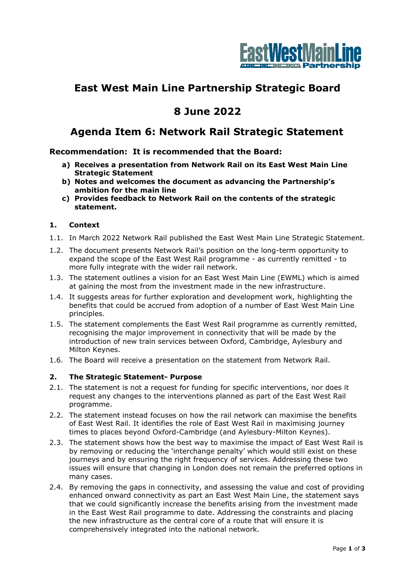

# **East West Main Line Partnership Strategic Board**

## **8 June 2022**

### **Agenda Item 6: Network Rail Strategic Statement**

**Recommendation: It is recommended that the Board:**

- **a) Receives a presentation from Network Rail on its East West Main Line Strategic Statement**
- **b) Notes and welcomes the document as advancing the Partnership's ambition for the main line**
- **c) Provides feedback to Network Rail on the contents of the strategic statement.**

#### **1. Context**

- 1.1. In March 2022 Network Rail published the East West Main Line Strategic Statement.
- 1.2. The document presents Network Rail's position on the long-term opportunity to expand the scope of the East West Rail programme - as currently remitted - to more fully integrate with the wider rail network.
- 1.3. The statement outlines a vision for an East West Main Line (EWML) which is aimed at gaining the most from the investment made in the new infrastructure.
- 1.4. It suggests areas for further exploration and development work, highlighting the benefits that could be accrued from adoption of a number of East West Main Line principles.
- 1.5. The statement complements the East West Rail programme as currently remitted, recognising the major improvement in connectivity that will be made by the introduction of new train services between Oxford, Cambridge, Aylesbury and Milton Keynes.
- 1.6. The Board will receive a presentation on the statement from Network Rail.

#### **2. The Strategic Statement- Purpose**

- 2.1. The statement is not a request for funding for specific interventions, nor does it request any changes to the interventions planned as part of the East West Rail programme.
- 2.2. The statement instead focuses on how the rail network can maximise the benefits of East West Rail. It identifies the role of East West Rail in maximising journey times to places beyond Oxford-Cambridge (and Aylesbury-Milton Keynes).
- 2.3. The statement shows how the best way to maximise the impact of East West Rail is by removing or reducing the 'interchange penalty' which would still exist on these journeys and by ensuring the right frequency of services. Addressing these two issues will ensure that changing in London does not remain the preferred options in many cases.
- 2.4. By removing the gaps in connectivity, and assessing the value and cost of providing enhanced onward connectivity as part an East West Main Line, the statement says that we could significantly increase the benefits arising from the investment made in the East West Rail programme to date. Addressing the constraints and placing the new infrastructure as the central core of a route that will ensure it is comprehensively integrated into the national network.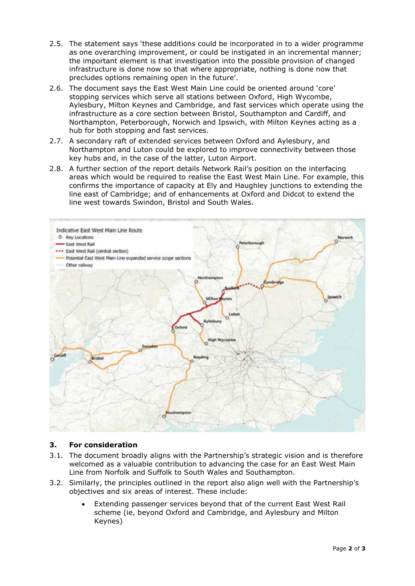- 2.5. The statement says 'these additions could be incorporated in to a wider programme as one overarching improvement, or could be instigated in an incremental manner; the important element is that investigation into the possible provision of changed infrastructure is done now so that where appropriate, nothing is done now that precludes options remaining open in the future'.
- 2.6. The document says the East West Main Line could be oriented around 'core' stopping services which serve all stations between Oxford, High Wycombe, Aylesbury, Milton Keynes and Cambridge, and fast services which operate using the infrastructure as a core section between Bristol, Southampton and Cardiff, and Northampton, Peterborough, Norwich and Ipswich, with Milton Keynes acting as a hub for both stopping and fast services.
- 2.7. A secondary raft of extended services between Oxford and Aylesbury, and Northampton and Luton could be explored to improve connectivity between those key hubs and, in the case of the latter, Luton Airport.
- 2.8. A further section of the report details Network Rail's position on the interfacing areas which would be required to realise the East West Main Line. For example, this confirms the importance of capacity at Ely and Haughley junctions to extending the line east of Cambridge; and of enhancements at Oxford and Didcot to extend the line west towards Swindon, Bristol and South Wales.



#### **3. For consideration**

- 3.1. The document broadly aligns with the Partnership's strategic vision and is therefore welcomed as a valuable contribution to advancing the case for an East West Main Line from Norfolk and Suffolk to South Wales and Southampton.
- 3.2. Similarly, the principles outlined in the report also align well with the Partnership's objectives and six areas of interest. These include:
	- Extending passenger services beyond that of the current East West Rail scheme (ie, beyond Oxford and Cambridge, and Aylesbury and Milton Keynes)